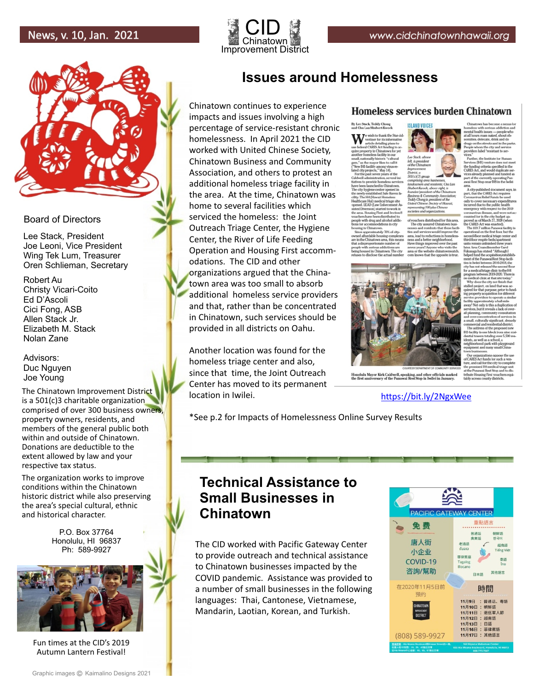



### Board of Directors

Lee Stack, President Joe Leoni, Vice President Wing Tek Lum, Treasurer Oren Schlieman, Secretary

Robert Au Christy Vicari-Coito Ed D'Ascoli Cici Fong, ASB Allen Stack Jr. Elizabeth M. Stack Nolan Zane

Advisors: Duc Nguyen Joe Young

The Chinatown Improvement District is a 501(c)3 charitable organization comprised of over 300 business owners, property owners, residents, and members of the general public both within and outside of Chinatown. Donations are deductible to the extent allowed by law and your respective tax status.

The organization works to improve conditions within the Chinatown historic district while also preserving the area's special cultural, ethnic and historical character.

> P.O. Box 37764 Honolulu, HI 96837 Ph: 589-9927



Fun times at the CID's 2019 Autumn Lantern Festival!

#### Graphic images C Kaimalino Designs 2021

## **Issues around Homelessness**

Chinatown continues to experience impacts and issues involving a high percentage of service-resistant chronic homelessness. In April 2021 the CID worked with United Chinese Society, Chinatown Business and Community Association, and others to protest an additional homeless triage facility in the area. At the time, Chinatown was home to several facilities which serviced the homeless: the Joint Outreach Triage Center, the Hygiene Center, the River of Life Feeding Operation and Housing First accommodations. The CID and other organizations argued that the Chinatown area was too small to absorb additional homeless service providers and that, rather than be concentrated in Chinatown, such services should be provided in all districts on Oahu.

Another location was found for the homeless triage center and also, since that time, the Joint Outreach Center has moved to its permanent location in Iwilei.

### Homeless services burden Chinatown

**ISLAND VOICES** 

By Lee Stack, Teddy Chong

and Chu Lan Shubert Awock<br>Wertiser for its inform vertiser for its info<br>article detailing pla<br>I CARES Act fundir ed in Chir

dy 709, of et



du Mayor Kirk Caldwell, speaking, and other officials marked<br>t anniversary of the Punawai Rest Stop in Iwilei in January.

https://bit.ly/2NgxWee

\*See p.2 for Impacts of Homelessness Online Survey Results

## **Technical Assistance to Small Businesses in Chinatown**

The CID worked with Pacific Gateway Center to provide outreach and technical assistance to Chinatown businesses impacted by the COVID pandemic. Assistance was provided to a number of small businesses in the following languages: Thai, Cantonese, Vietnamese, Mandarin, Laotian, Korean, and Turkish.

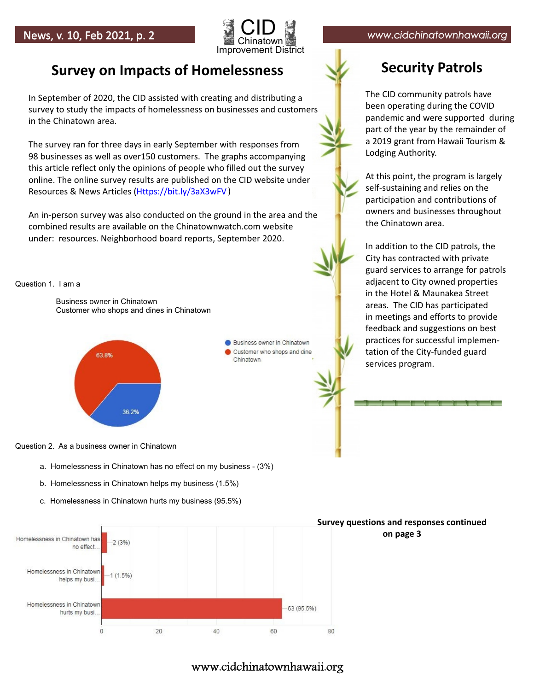

# **Survey on Impacts of Homelessness Security Patrols**

In September of 2020, the CID assisted with creating and distributing a survey to study the impacts of homelessness on businesses and customers in the Chinatown area.

The survey ran for three days in early September with responses from 98 businesses as well as over150 customers. The graphs accompanying this article reflect only the opinions of people who filled out the survey online. The online survey results are published on the CID website under Resources & News Articles (<u>Https://bit.ly/3aX3wFV</u>)

An in-person survey was also conducted on the ground in the area and the combined results are available on the Chinatownwatch.com website under: resources. Neighborhood board reports, September 2020.

### Question 1. I am a

 Business owner in Chinatown Customer who shops and dines in Chinatown



Business owner in Chinatown Customer who shops and dine Chinatown

The CID community patrols have been operating during the COVID pandemic and were supported during part of the year by the remainder of a 2019 grant from Hawaii Tourism & Lodging Authority.

At this point, the program is largely self-sustaining and relies on the participation and contributions of owners and businesses throughout the Chinatown area.

In addition to the CID patrols, the City has contracted with private guard services to arrange for patrols adjacent to City owned properties in the Hotel & Maunakea Street areas. The CID has participated in meetings and efforts to provide feedback and suggestions on best practices for successful implementation of the City-funded guard services program.

Question 2. As a business owner in Chinatown

- a. Homelessness in Chinatown has no effect on my business (3%)
- b. Homelessness in Chinatown helps my business (1.5%)
- c. Homelessness in Chinatown hurts my business (95.5%)



## www.cidchinatownhawaii.org